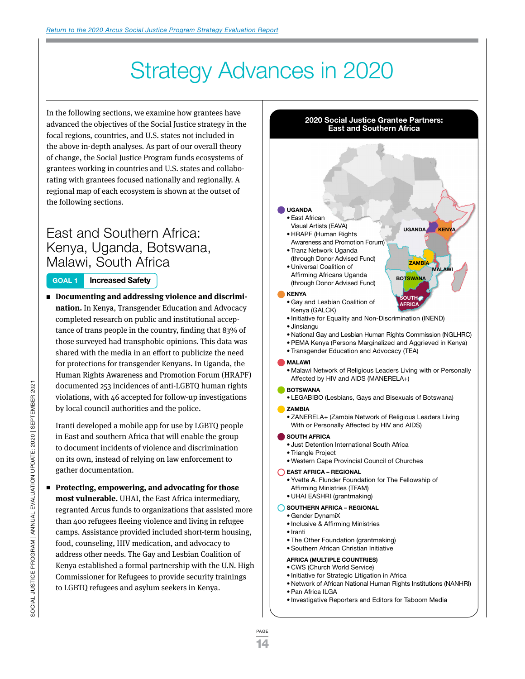# Strategy Advances in 2020

In the following sections, we examine how grantees have advanced the objectives of the Social Justice strategy in the focal regions, countries, and U.S. states not included in the above in-depth analyses. As part of our overall theory of change, the Social Justice Program funds ecosystems of grantees working in countries and U.S. states and collaborating with grantees focused nationally and regionally. A regional map of each ecosystem is shown at the outset of the following sections.

### East and Southern Africa: Kenya, Uganda, Botswana, Malawi, South Africa

#### **GOAL 1 Increased Safety**

■ Documenting and addressing violence and discrimi**nation.** In Kenya, Transgender Education and Advocacy completed research on public and institutional acceptance of trans people in the country, finding that 83% of those surveyed had transphobic opinions. This data was shared with the media in an effort to publicize the need for protections for transgender Kenyans. In Uganda, the Human Rights Awareness and Promotion Forum (HRAPF) documented 253 incidences of anti-LGBTQ human rights violations, with 46 accepted for follow-up investigations by local council authorities and the police.

Iranti developed a mobile app for use by LGBTQ people in East and southern Africa that will enable the group to document incidents of violence and discrimination on its own, instead of relying on law enforcement to gather documentation.

■ Protecting, empowering, and advocating for those **most vulnerable.** UHAI, the East Africa intermediary, regranted Arcus funds to organizations that assisted more than 400 refugees fleeing violence and living in refugee camps. Assistance provided included short-term housing, food, counseling, HIV medication, and advocacy to address other needs. The Gay and Lesbian Coalition of Kenya established a formal partnership with the U.N. High Commissioner for Refugees to provide security trainings to LGBTQ refugees and asylum seekers in Kenya.



- CWS (Church World Service)
- Initiative for Strategic Litigation in Africa
- Network of African National Human Rights Institutions (NANHRI)
- Pan Africa ILGA
- Investigative Reporters and Editors for Taboom Media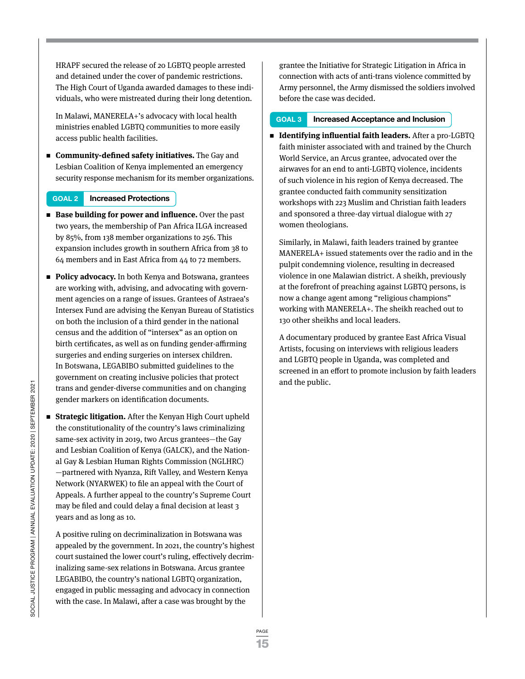HRAPF secured the release of 20 LGBTQ people arrested and detained under the cover of pandemic restrictions. The High Court of Uganda awarded damages to these individuals, who were mistreated during their long detention.

In Malawi, MANERELA+'s advocacy with local health ministries enabled LGBTQ communities to more easily access public health facilities.

<sup>n</sup> **Community-defined safety initiatives.** The Gay and Lesbian Coalition of Kenya implemented an emergency security response mechanism for its member organizations.

#### **GOAL 2 Increased Protections**

- Base building for power and influence. Over the past two years, the membership of Pan Africa ILGA increased by 85%, from 138 member organizations to 256. This expansion includes growth in southern Africa from 38 to 64 members and in East Africa from 44 to 72 members.
- **Policy advocacy.** In both Kenya and Botswana, grantees are working with, advising, and advocating with government agencies on a range of issues. Grantees of Astraea's Intersex Fund are advising the Kenyan Bureau of Statistics on both the inclusion of a third gender in the national census and the addition of "intersex" as an option on birth certificates, as well as on funding gender-affirming surgeries and ending surgeries on intersex children. In Botswana, LEGABIBO submitted guidelines to the government on creating inclusive policies that protect trans and gender-diverse communities and on changing gender markers on identification documents.
- **Strategic litigation.** After the Kenyan High Court upheld the constitutionality of the country's laws criminalizing same-sex activity in 2019, two Arcus grantees—the Gay and Lesbian Coalition of Kenya (GALCK), and the National Gay & Lesbian Human Rights Commission (NGLHRC) —partnered with Nyanza, Rift Valley, and Western Kenya Network (NYARWEK) to file an appeal with the Court of Appeals. A further appeal to the country's Supreme Court may be filed and could delay a final decision at least 3 years and as long as 10.

A positive ruling on decriminalization in Botswana was appealed by the government. In 2021, the country's highest court sustained the lower court's ruling, effectively decriminalizing same-sex relations in Botswana. Arcus grantee LEGABIBO, the country's national LGBTQ organization, engaged in public messaging and advocacy in connection with the case. In Malawi, after a case was brought by the

grantee the Initiative for Strategic Litigation in Africa in connection with acts of anti-trans violence committed by Army personnel, the Army dismissed the soldiers involved before the case was decided.

#### **GOAL 3 Increased Acceptance and Inclusion**

■ **Identifying influential faith leaders.** After a pro-LGBTQ faith minister associated with and trained by the Church World Service, an Arcus grantee, advocated over the airwaves for an end to anti-LGBTQ violence, incidents of such violence in his region of Kenya decreased. The grantee conducted faith community sensitization workshops with 223 Muslim and Christian faith leaders and sponsored a three-day virtual dialogue with 27 women theologians.

Similarly, in Malawi, faith leaders trained by grantee MANERELA+ issued statements over the radio and in the pulpit condemning violence, resulting in decreased violence in one Malawian district. A sheikh, previously at the forefront of preaching against LGBTQ persons, is now a change agent among "religious champions" working with MANERELA+. The sheikh reached out to 130 other sheikhs and local leaders.

A documentary produced by grantee East Africa Visual Artists, focusing on interviews with religious leaders and LGBTQ people in Uganda, was completed and screened in an effort to promote inclusion by faith leaders and the public.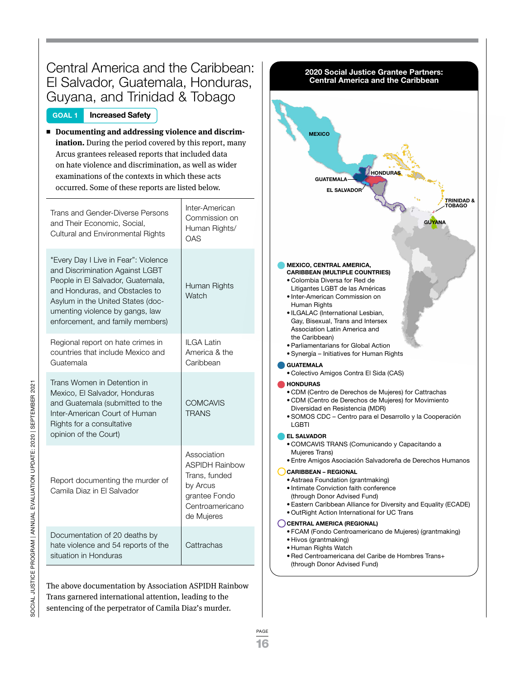| Central America and the Caribbean:<br>2020 Social Justice Grantee Partners:<br><b>Central America and the Caribbean</b><br>El Salvador, Guatemala, Honduras,<br>Guyana, and Trinidad & Tobago                                                                                                                                                                                   |                                                                                                                     |                                                                                                                                                                                                                                                                                                                                                                                                                                                                                                                                                                                                                                                                                                                                                  |
|---------------------------------------------------------------------------------------------------------------------------------------------------------------------------------------------------------------------------------------------------------------------------------------------------------------------------------------------------------------------------------|---------------------------------------------------------------------------------------------------------------------|--------------------------------------------------------------------------------------------------------------------------------------------------------------------------------------------------------------------------------------------------------------------------------------------------------------------------------------------------------------------------------------------------------------------------------------------------------------------------------------------------------------------------------------------------------------------------------------------------------------------------------------------------------------------------------------------------------------------------------------------------|
| <b>Increased Safety</b><br><b>GOAL 1</b><br>Documenting and addressing violence and discrim-<br>ination. During the period covered by this report, many<br>Arcus grantees released reports that included data<br>on hate violence and discrimination, as well as wider<br>examinations of the contexts in which these acts<br>occurred. Some of these reports are listed below. |                                                                                                                     | <b>MEXICO</b><br><b>HONDUR</b><br><b>GUATEMALA</b><br><b>EL SALVADOR</b>                                                                                                                                                                                                                                                                                                                                                                                                                                                                                                                                                                                                                                                                         |
| Trans and Gender-Diverse Persons<br>and Their Economic, Social,<br><b>Cultural and Environmental Rights</b>                                                                                                                                                                                                                                                                     | Inter-American<br>Commission on<br>Human Rights/<br><b>OAS</b>                                                      | <b>TRINIDAD &amp;</b><br><b>OBAGO</b><br><b>GUYANA</b>                                                                                                                                                                                                                                                                                                                                                                                                                                                                                                                                                                                                                                                                                           |
| "Every Day I Live in Fear": Violence<br>and Discrimination Against LGBT<br>People in El Salvador, Guatemala,<br>and Honduras, and Obstacles to<br>Asylum in the United States (doc-<br>umenting violence by gangs, law<br>enforcement, and family members)                                                                                                                      | Human Rights<br>Watch                                                                                               | <b>MEXICO, CENTRAL AMERICA,</b><br><b>CARIBBEAN (MULTIPLE COUNTRIES)</b><br>• Colombia Diversa for Red de<br>Litigantes LGBT de las Américas<br>• Inter-American Commission on<br>Human Rights<br>· ILGALAC (International Lesbian,<br>Gay, Bisexual, Trans and Intersex<br>Association Latin America and<br>the Caribbean)<br>• Parliamentarians for Global Action<br>• Synergía – Initiatives for Human Rights<br><b>GUATEMALA</b><br>• Colectivo Amigos Contra El Sida (CAS)<br><b>HONDURAS</b><br>• CDM (Centro de Derechos de Mujeres) for Cattrachas<br>• CDM (Centro de Derechos de Mujeres) for Movimiento<br>Diversidad en Resistencia (MDR)<br>• SOMOS CDC - Centro para el Desarrollo y la Cooperación<br>LGBTI<br><b>EL SALVADOR</b> |
| Regional report on hate crimes in<br>countries that include Mexico and<br>Guatemala                                                                                                                                                                                                                                                                                             | ILGA Latin<br>America & the<br>Caribbean                                                                            |                                                                                                                                                                                                                                                                                                                                                                                                                                                                                                                                                                                                                                                                                                                                                  |
| Trans Women in Detention in<br>Mexico, El Salvador, Honduras<br>and Guatemala (submitted to the<br>Inter-American Court of Human<br>Rights for a consultative<br>opinion of the Court)                                                                                                                                                                                          | <b>COMCAVIS</b><br><b>TRANS</b>                                                                                     |                                                                                                                                                                                                                                                                                                                                                                                                                                                                                                                                                                                                                                                                                                                                                  |
| Report documenting the murder of<br>Camila Diaz in El Salvador                                                                                                                                                                                                                                                                                                                  | Association<br><b>ASPIDH Rainbow</b><br>Trans, funded<br>by Arcus<br>grantee Fondo<br>Centroamericano<br>de Mujeres | • COMCAVIS TRANS (Comunicando y Capacitando a<br>Mujeres Trans)<br>• Entre Amigos Asociación Salvadoreña de Derechos Humanos<br><b>CARIBBEAN - REGIONAL</b><br>· Astraea Foundation (grantmaking)<br>• Intimate Conviction faith conference<br>(through Donor Advised Fund)<br>• Eastern Caribbean Alliance for Diversity and Equality (ECADE)<br>. OutRight Action International for UC Trans<br><b>CENTRAL AMERICA (REGIONAL)</b>                                                                                                                                                                                                                                                                                                              |
| Documentation of 20 deaths by<br>hate violence and 54 reports of the<br>situation in Honduras                                                                                                                                                                                                                                                                                   | Cattrachas                                                                                                          | • FCAM (Fondo Centroamericano de Mujeres) (grantmaking)<br>• Hivos (grantmaking)<br>• Human Rights Watch<br>• Red Centroamericana del Caribe de Hombres Trans+<br>(through Donor Advised Fund)                                                                                                                                                                                                                                                                                                                                                                                                                                                                                                                                                   |

The above documentation by Association ASPIDH Rainbow Trans garnered international attention, leading to the sentencing of the perpetrator of Camila Diaz's murder.

SOCIAL JUSTICE PROGRAM | ANNUAL EVALUATION UPDATE: 2020 | SEPTEMBER 2021 SOCIAL JUSTICE PROGRAM | ANNUAL EVALUATION UPDATE: 2020 | SEPTEMBER 2021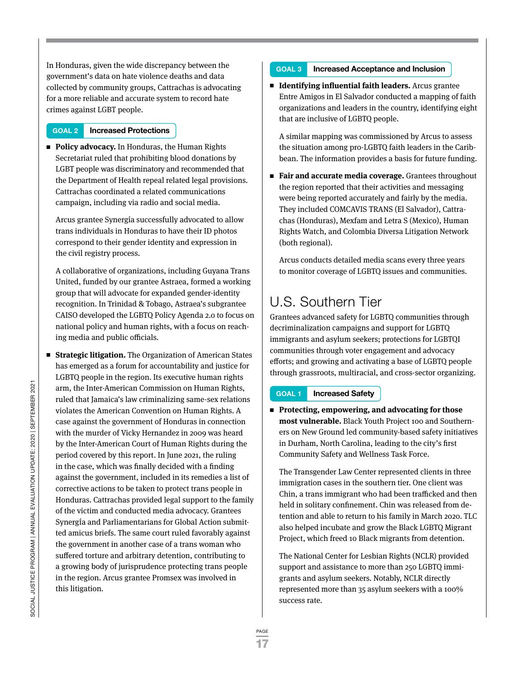In Honduras, given the wide discrepancy between the government's data on hate violence deaths and data collected by community groups, Cattrachas is advocating for a more reliable and accurate system to record hate crimes against LGBT people.

#### **GOAL 2 Increased Protections**

**Policy advocacy.** In Honduras, the Human Rights Secretariat ruled that prohibiting blood donations by LGBT people was discriminatory and recommended that the Department of Health repeal related legal provisions. Cattrachas coordinated a related communications campaign, including via radio and social media.

Arcus grantee Synergía successfully advocated to allow trans individuals in Honduras to have their ID photos correspond to their gender identity and expression in the civil registry process.

A collaborative of organizations, including Guyana Trans United, funded by our grantee Astraea, formed a working group that will advocate for expanded gender-identity recognition. In Trinidad & Tobago, Astraea's subgrantee CAISO developed the LGBTQ Policy Agenda 2.0 to focus on national policy and human rights, with a focus on reaching media and public officials.

■ **Strategic litigation.** The Organization of American States has emerged as a forum for accountability and justice for LGBTQ people in the region. Its executive human rights arm, the Inter-American Commission on Human Rights, ruled that Jamaica's law criminalizing same-sex relations violates the American Convention on Human Rights. A case against the government of Honduras in connection with the murder of Vicky Hernandez in 2009 was heard by the Inter-American Court of Human Rights during the period covered by this report. In June 2021, the ruling in the case, which was finally decided with a finding against the government, included in its remedies a list of corrective actions to be taken to protect trans people in Honduras. Cattrachas provided legal support to the family of the victim and conducted media advocacy. Grantees SynergÍa and Parliamentarians for Global Action submitted amicus briefs. The same court ruled favorably against the government in another case of a trans woman who suffered torture and arbitrary detention, contributing to a growing body of jurisprudence protecting trans people in the region. Arcus grantee Promsex was involved in this litigation.

#### **GOAL 3 Increased Acceptance and Inclusion**

<sup>n</sup> **Identifying influential faith leaders.** Arcus grantee Entre Amigos in El Salvador conducted a mapping of faith organizations and leaders in the country, identifying eight that are inclusive of LGBTQ people.

A similar mapping was commissioned by Arcus to assess the situation among pro-LGBTQ faith leaders in the Caribbean. The information provides a basis for future funding.

■ **Fair and accurate media coverage.** Grantees throughout the region reported that their activities and messaging were being reported accurately and fairly by the media. They included COMCAVIS TRANS (El Salvador), Cattrachas (Honduras), Mexfam and Letra S (Mexico), Human Rights Watch, and Colombia Diversa Litigation Network (both regional).

Arcus conducts detailed media scans every three years to monitor coverage of LGBTQ issues and communities.

## U.S. Southern Tier

Grantees advanced safety for LGBTQ communities through decriminalization campaigns and support for LGBTQ immigrants and asylum seekers; protections for LGBTQI communities through voter engagement and advocacy efforts; and growing and activating a base of LGBTQ people through grassroots, multiracial, and cross-sector organizing.

#### **GOAL 1 Increased Safety**

■ Protecting, empowering, and advocating for those **most vulnerable.** Black Youth Project 100 and Southerners on New Ground led community-based safety initiatives in Durham, North Carolina, leading to the city's first Community Safety and Wellness Task Force.

The Transgender Law Center represented clients in three immigration cases in the southern tier. One client was Chin, a trans immigrant who had been trafficked and then held in solitary confinement. Chin was released from detention and able to return to his family in March 2020. TLC also helped incubate and grow the Black LGBTQ Migrant Project, which freed 10 Black migrants from detention.

The National Center for Lesbian Rights (NCLR) provided support and assistance to more than 250 LGBTQ immigrants and asylum seekers. Notably, NCLR directly represented more than 35 asylum seekers with a 100% success rate.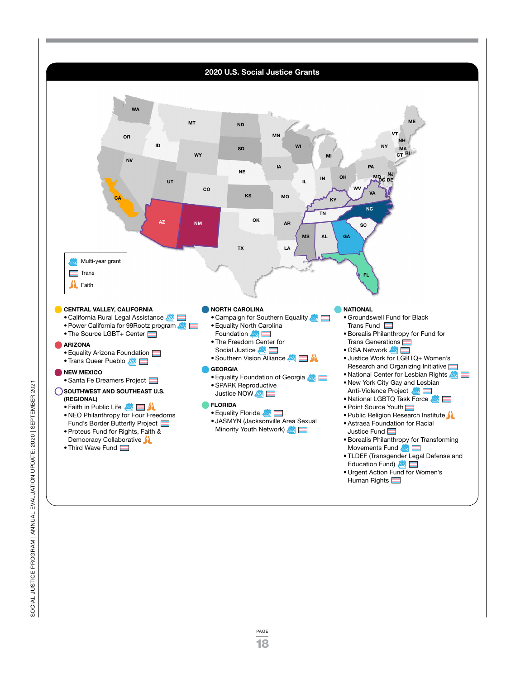